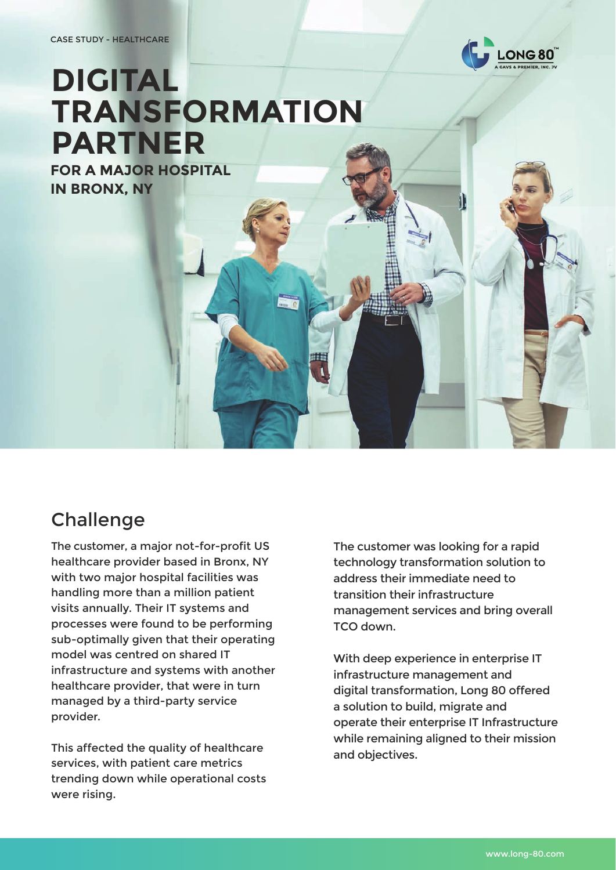

# **DIGITAL TRANSFORMATION PARTNER**

**FOR A MAJOR HOSPITAL IN BRONX, NY**

# **Challenge**

The customer, a major not-for-profit US healthcare provider based in Bronx, NY with two major hospital facilities was handling more than a million patient visits annually. Their IT systems and processes were found to be performing sub-optimally given that their operating model was centred on shared IT infrastructure and systems with another healthcare provider, that were in turn managed by a third-party service provider.

This affected the quality of healthcare services, with patient care metrics trending down while operational costs were rising.

The customer was looking for a rapid technology transformation solution to address their immediate need to transition their infrastructure management services and bring overall TCO down.

With deep experience in enterprise IT infrastructure management and digital transformation, Long 80 offered a solution to build, migrate and operate their enterprise IT Infrastructure while remaining aligned to their mission and objectives.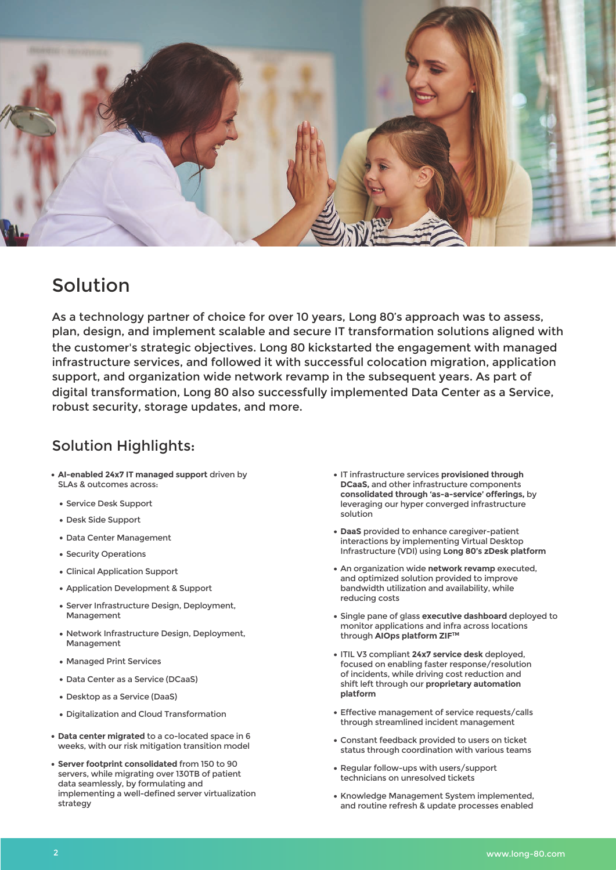

## Solution

As a technology partner of choice for over 10 years, Long 80's approach was to assess, plan, design, and implement scalable and secure IT transformation solutions aligned with the customer's strategic objectives. Long 80 kickstarted the engagement with managed infrastructure services, and followed it with successful colocation migration, application support, and organization wide network revamp in the subsequent years. As part of digital transformation, Long 80 also successfully implemented Data Center as a Service, robust security, storage updates, and more.

#### Solution Highlights:

- **AI-enabled 24x7 IT managed support** driven by SLAs & outcomes across:
	- Service Desk Support
	- Desk Side Support
	- Data Center Management
	- Security Operations
	- Clinical Application Support
	- Application Development & Support
	- **Server Infrastructure Design, Deployment,** Management
	- Network Infrastructure Design, Deployment, Management
	- Managed Print Services
	- Data Center as a Service (DCaaS)
	- Desktop as a Service (DaaS)
	- Digitalization and Cloud Transformation
- **Data center migrated** to a co-located space in 6 weeks, with our risk mitigation transition model
- **Server footprint consolidated** from 150 to 90 servers, while migrating over 130TB of patient data seamlessly, by formulating and implementing a well-defined server virtualization strategy
- IT infrastructure services **provisioned through DCaaS,** and other infrastructure components **consolidated through 'as-a-service' offerings,** by leveraging our hyper converged infrastructure solution
- **DaaS** provided to enhance caregiver-patient interactions by implementing Virtual Desktop Infrastructure (VDI) using **Long 80's zDesk platform**
- An organization wide **network revamp** executed, and optimized solution provided to improve bandwidth utilization and availability, while reducing costs
- Single pane of glass **executive dashboard** deployed to monitor applications and infra across locations through **AIOps platform ZIFTM**
- ITIL V3 compliant **24x7 service desk** deployed, focused on enabling faster response/resolution of incidents, while driving cost reduction and shift left through our **proprietary automation platform**
- Effective management of service requests/calls through streamlined incident management
- Constant feedback provided to users on ticket status through coordination with various teams
- Regular follow-ups with users/support technicians on unresolved tickets
- Knowledge Management System implemented, and routine refresh & update processes enabled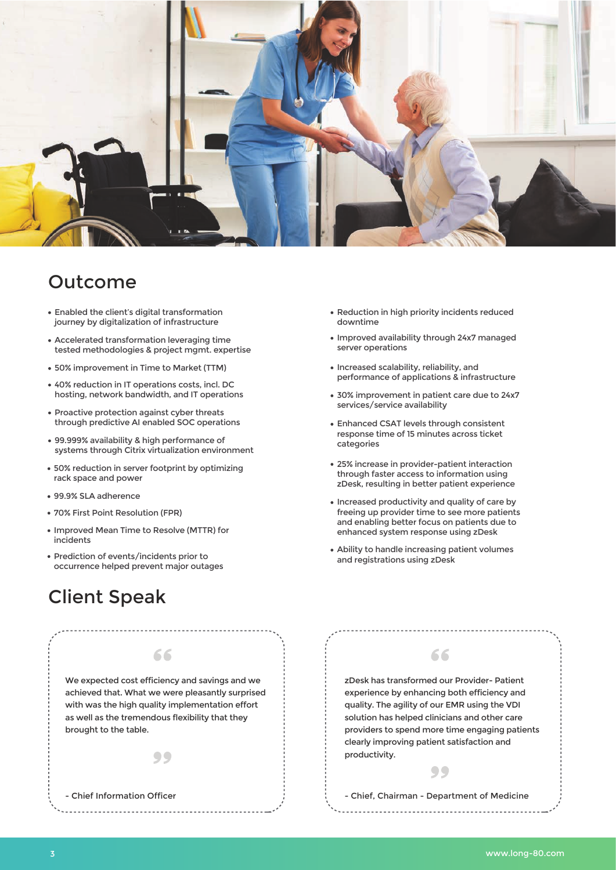

### Outcome

- Enabled the client's digital transformation journey by digitalization of infrastructure
- Accelerated transformation leveraging time tested methodologies & project mgmt. expertise
- 50% improvement in Time to Market (TTM)
- 40% reduction in IT operations costs, incl. DC hosting, network bandwidth, and IT operations
- Proactive protection against cyber threats through predictive AI enabled SOC operations
- 99.999% availability & high performance of systems through Citrix virtualization environment
- 50% reduction in server footprint by optimizing rack space and power
- 99.9% SLA adherence
- 70% First Point Resolution (FPR)
- Improved Mean Time to Resolve (MTTR) for incidents
- Prediction of events/incidents prior to occurrence helped prevent major outages

# Client Speak

- Chief Information Officer



99

<u>. . . . . . . . . . . . . . . . .</u>

66

- Reduction in high priority incidents reduced downtime
- Improved availability through 24x7 managed server operations
- Increased scalability, reliability, and performance of applications & infrastructure
- 30% improvement in patient care due to 24x7 services/service availability
- Enhanced CSAT levels through consistent response time of 15 minutes across ticket categories
- 25% increase in provider-patient interaction through faster access to information using zDesk, resulting in better patient experience
- Increased productivity and quality of care by freeing up provider time to see more patients and enabling better focus on patients due to enhanced system response using zDesk
- Ability to handle increasing patient volumes and registrations using zDesk



66

#### - Chief, Chairman - Department of Medicine

99